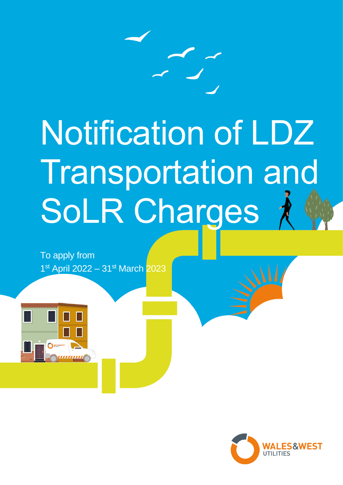

# Notification of LDZ Transportation and SoLR Charges

To apply from 1st April 2022 - 31st March 2023



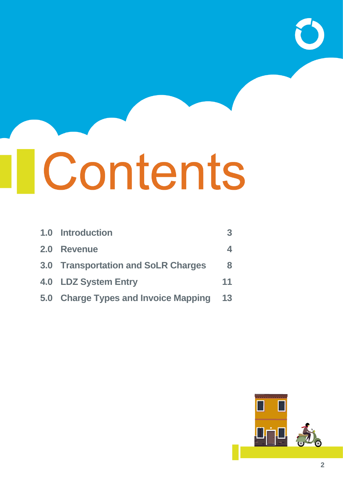# **I** Contents

|            | 1.0 Introduction                     | 3  |
|------------|--------------------------------------|----|
| <b>2.0</b> | <b>Revenue</b>                       | 4  |
|            | 3.0 Transportation and SoLR Charges  | 8  |
|            | 4.0 LDZ System Entry                 | 11 |
|            | 5.0 Charge Types and Invoice Mapping | 13 |

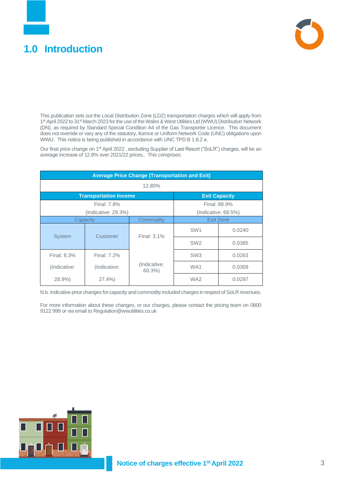# <span id="page-2-0"></span>**1.0 Introduction**



This publication sets out the Local Distribution Zone (LDZ) transportation charges which will apply from 1<sup>st</sup> April 2022 to 31<sup>st</sup> March 2023 for the use of the Wales & West Utilities Ltd (WWU) Distribution Network (DN), as required by Standard Special Condition A4 of the Gas Transporter Licence. This document does not override or vary any of the statutory, licence or Uniform Network Code (UNC) obligations upon WWU. This notice is being published in accordance with UNC TPD B 1.8.2 a.

Our final price change on 1<sup>st</sup> April 2022, excluding Supplier of Last Resort ("SoLR") charges, will be an average increase of 12.8% over 2021/22 prices,. This comprises:

| <b>Average Price Change (Transportation and Exit)</b> |                              |                       |                 |                      |  |  |
|-------------------------------------------------------|------------------------------|-----------------------|-----------------|----------------------|--|--|
|                                                       | 12.80%                       |                       |                 |                      |  |  |
|                                                       | <b>Transportation Income</b> |                       |                 | <b>Exit Capacity</b> |  |  |
|                                                       | Final: 7.8%                  |                       |                 | Final: 88.9%         |  |  |
|                                                       | (Indicate: 29.3%)            |                       |                 | (Indicate: 68.5%)    |  |  |
| Capacity                                              |                              | Commodity             | Exit Zone       |                      |  |  |
| <b>System</b>                                         | Customer                     | Final: 3.1%           | SW <sub>1</sub> | 0.0240               |  |  |
|                                                       |                              |                       | SW <sub>2</sub> | 0.0385               |  |  |
| Final: 8.3%                                           | Final: 7.2%                  |                       | SW <sub>3</sub> | 0.0263               |  |  |
| (Indicative:                                          | (Indicative:                 | (Indicative:<br>60.3% | WA <sub>1</sub> | 0.0309               |  |  |
| 28.9%                                                 | $27.4\%$                     |                       | WA <sub>2</sub> | 0.0297               |  |  |

N.b. Indicative price changes for capacity and commodity included charges in respect of SoLR revenues.

For more information about these changes, or our charges, please contact the pricing team on 0800 9122 999 or via email to Regulation@wwutilities.co.uk

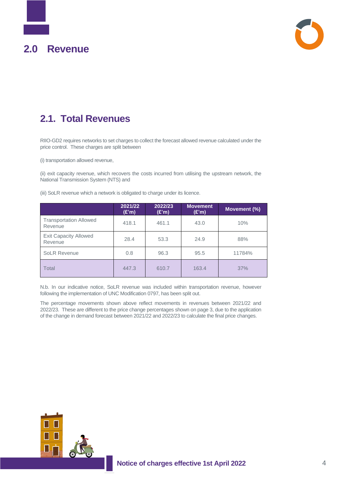<span id="page-3-0"></span>



# **2.1. Total Revenues**

RIIO-GD2 requires networks to set charges to collect the forecast allowed revenue calculated under the price control. These charges are split between

(i) transportation allowed revenue,

(ii) exit capacity revenue, which recovers the costs incurred from utilising the upstream network, the National Transmission System (NTS) and

(iii) SoLR revenue which a network is obligated to charge under its licence.

|                                          | 2021/22<br>(E'm) | 2022/23<br>(E'm) | <b>Movement</b><br>(E'm) | Movement (%) |
|------------------------------------------|------------------|------------------|--------------------------|--------------|
| <b>Transportation Allowed</b><br>Revenue | 418.1            | 461.1            | 43.0                     | 10%          |
| <b>Exit Capacity Allowed</b><br>Revenue  | 28.4             | 53.3             | 24.9                     | 88%          |
| <b>SoLR Revenue</b>                      | 0.8              | 96.3             | 95.5                     | 11784%       |
| Total                                    | 447.3            | 610.7            | 163.4                    | 37%          |

N.b. In our indicative notice, SoLR revenue was included within transportation revenue, however following the implementation of UNC Modification 0797, has been split out.

The percentage movements shown above reflect movements in revenues between 2021/22 and 2022/23. These are different to the price change percentages shown on page 3, due to the application of the change in demand forecast between 2021/22 and 2022/23 to calculate the final price changes.

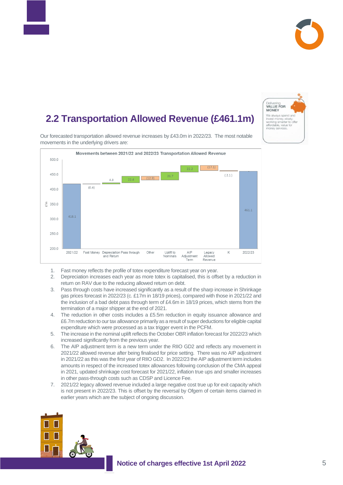

# **2.2. 2.2 Transportation Allowed Revenue (£461.1m)**



Our forecasted transportation allowed revenue increases by £43.0m in 2022/23. The most notable movements in the underlying drivers are:



- 1. Fast money reflects the profile of totex expenditure forecast year on year.
- 2. Depreciation increases each year as more totex is capitalised, this is offset by a reduction in return on RAV due to the reducing allowed return on debt.
- 3. Pass through costs have increased significantly as a result of the sharp increase in Shrinkage gas prices forecast in 2022/23 (c. £17m in 18/19 prices), compared with those in 2021/22 and the inclusion of a bad debt pass through term of £4.6m in 18/19 prices, which stems from the termination of a major shipper at the end of 2021.
- 4. The reduction in other costs includes a £5.5m reduction in equity issuance allowance and £6.7m reduction to our tax allowance primarily as a result of super deductions for eligible capital expenditure which were processed as a tax trigger event in the PCFM.
- 5. The increase in the nominal uplift reflects the October OBR inflation forecast for 2022/23 which increased significantly from the previous year.
- 6. The AIP adjustment term is a new term under the RIIO GD2 and reflects any movement in 2021/22 allowed revenue after being finalised for price setting. There was no AIP adjustment in 2021/22 as this was the first year of RIIO GD2. In 2022/23 the AIP adjustment term includes amounts in respect of the increased totex allowances following conclusion of the CMA appeal in 2021, updated shrinkage cost forecast for 2021/22, inflation true ups and smaller increases in other pass-through costs such as CDSP and Licence Fee.
- 7. 2021/22 legacy allowed revenue included a large negative cost true up for exit capacity which is not present in 2022/23. This is offset by the reversal by Ofgem of certain items claimed in earlier years which are the subject of ongoing discussion.

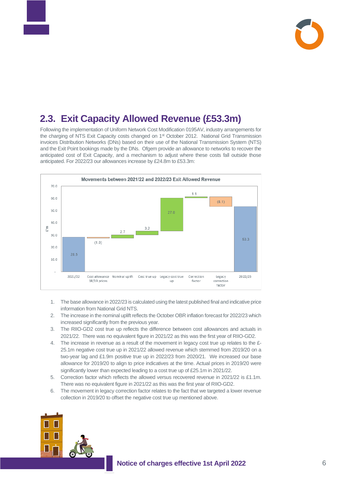

# **2.3. Exit Capacity Allowed Revenue (£53.3m)**

Following the implementation of Uniform Network Cost Modification 0195AV, industry arrangements for the charging of NTS Exit Capacity costs changed on 1st October 2012. National Grid Transmission invoices Distribution Networks (DNs) based on their use of the National Transmission System (NTS) and the Exit Point bookings made by the DNs. Ofgem provide an allowance to networks to recover the anticipated cost of Exit Capacity, and a mechanism to adjust where these costs fall outside those anticipated. For 2022/23 our allowances increase by £24.8m to £53.3m:



- 1. The base allowance in 2022/23 is calculated using the latest published final and indicative price information from National Grid NTS.
- 2. The increase in the nominal uplift reflects the October OBR inflation forecast for 2022/23 which increased significantly from the previous year.
- 3. The RIIO-GD2 cost true up reflects the difference between cost allowances and actuals in 2021/22. There was no equivalent figure in 2021/22 as this was the first year of RIIO-GD2.
- 4. The increase in revenue as a result of the movement in legacy cost true up relates to the £- 25.1m negative cost true up in 2021/22 allowed revenue which stemmed from 2019/20 on a two-year lag and £1.9m positive true up in 2022/23 from 2020/21. We increased our base allowance for 2019/20 to align to price indicatives at the time. Actual prices in 2019/20 were significantly lower than expected leading to a cost true up of £25.1m in 2021/22.
- 5. Correction factor which reflects the allowed versus recovered revenue in 2021/22 is £1.1m. There was no equivalent figure in 2021/22 as this was the first year of RIIO-GD2.
- 6. The movement in legacy correction factor relates to the fact that we targeted a lower revenue collection in 2019/20 to offset the negative cost true up mentioned above.

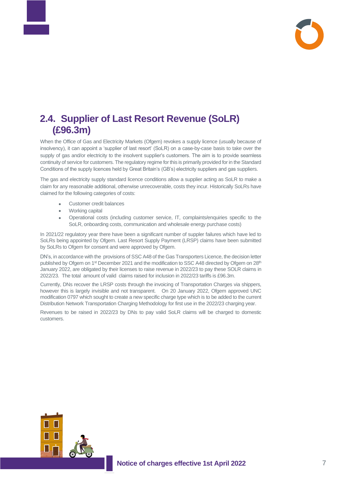

## **2.4. Supplier of Last Resort Revenue (SoLR) (£96.3m)**

When the Office of Gas and Electricity Markets (Ofgem) revokes a supply licence (usually because of insolvency), it can appoint a 'supplier of last resort' (SoLR) on a case-by-case basis to take over the supply of gas and/or electricity to the insolvent supplier's customers. The aim is to provide seamless continuity of service for customers. The regulatory regime for this is primarily provided for in the Standard Conditions of the supply licences held by Great Britain's (GB's) electricity suppliers and gas suppliers.

The gas and electricity supply standard licence conditions allow a supplier acting as SoLR to make a claim for any reasonable additional, otherwise unrecoverable, costs they incur. Historically SoLRs have claimed for the following categories of costs:

- Customer credit balances
- Working capital
- Operational costs (including customer service, IT, complaints/enquiries specific to the SoLR, onboarding costs, communication and wholesale energy purchase costs)

In 2021/22 regulatory year there have been a significant number of suppler failures which have led to SoLRs being appointed by Ofgem. Last Resort Supply Payment (LRSP) claims have been submitted by SoLRs to Ofgem for consent and were approved by Ofgem.

DN's, in accordance with the provisions of SSC A48 of the Gas Transporters Licence, the decision letter published by Ofgem on 1<sup>st</sup> December 2021 and the modification to SSC A48 directed by Ofgem on 28<sup>th</sup> January 2022, are obligated by their licenses to raise revenue in 2022/23 to pay these SOLR claims in 2022/23. The total amount of valid claims raised for inclusion in 2022/23 tariffs is £96.3m.

Currently, DNs recover the LRSP costs through the invoicing of Transportation Charges via shippers, however this is largely invisible and not transparent. On 20 January 2022, Ofgem approved UNC modification 0797 which sought to create a new specific charge type which is to be added to the current Distribution Network Transportation Charging Methodology for first use in the 2022/23 charging year.

Revenues to be raised in 2022/23 by DNs to pay valid SoLR claims will be charged to domestic customers.

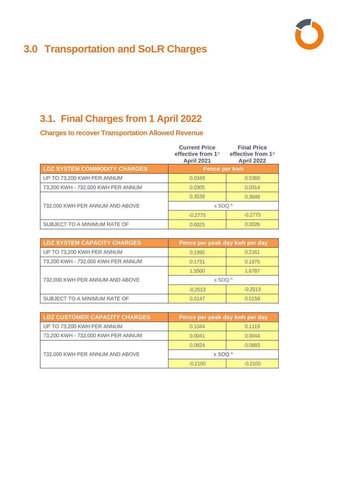# <span id="page-7-0"></span>**3.0 Transportation and SoLR Charges**



# **3.1. Final Charges from 1 April 2022**

**Charges to recover Transportation Allowed Revenue**

|                                    | <b>Current Price</b><br>effective from 1 <sup>st</sup><br><b>April 2021</b> | <b>Final Price</b><br>effective from 1 <sup>st</sup><br><b>April 2022</b> |
|------------------------------------|-----------------------------------------------------------------------------|---------------------------------------------------------------------------|
| LDZ SYSTEM COMMODITY CHARGES       | Pence per kwh                                                               |                                                                           |
| UP TO 73,200 KWH PER ANNUM         | 0.0349                                                                      | 0.0360                                                                    |
| 73,200 KWH - 732,000 KWH PER ANNUM | 0.0305                                                                      | 0.0314                                                                    |
|                                    | 0.3538                                                                      | 0.3648                                                                    |
| 732,000 KWH PER ANNUM AND ABOVE    | $x$ SOO ^                                                                   |                                                                           |
|                                    | $-0.2775$                                                                   | $-0.2775$                                                                 |
| SUBJECT TO A MINIMUM RATE OF       | 0.0025                                                                      | 0.0026                                                                    |

| <b>LDZ SYSTEM CAPACITY CHARGES</b> | Pence per peak day kwh per day |           |  |
|------------------------------------|--------------------------------|-----------|--|
| UP TO 73,200 KWH PER ANNUM         | 0.1995                         | 0.2161    |  |
| 73,200 KWH - 732,000 KWH PER ANNUM | 0.1731                         | 0.1875    |  |
|                                    | 1.5500                         | 1.6787    |  |
| 732,000 KWH PER ANNUM AND ABOVE    | $\times$ SOQ ^                 |           |  |
|                                    | $-0.2513$                      | $-0.2513$ |  |
| SUBJECT TO A MINIMUM RATE OF       | 0.0147                         | 0.0159    |  |

| <b>LDZ CUSTOMER CAPACITY CHARGES</b> | Pence per peak day kwh per day |           |  |
|--------------------------------------|--------------------------------|-----------|--|
| UP TO 73,200 KWH PER ANNUM           | 0.1044                         | 0.1119    |  |
| 73,200 KWH - 732,000 KWH PER ANNUM   | 0.0041                         | 0.0044    |  |
|                                      | 0.0824                         | 0.0883    |  |
| 732,000 KWH PER ANNUM AND ABOVE      | x SOQ ^                        |           |  |
|                                      | $-0.2100$                      | $-0.2100$ |  |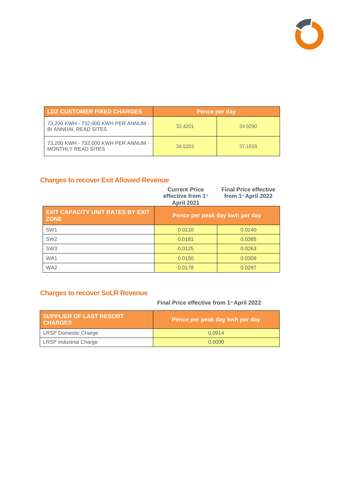

| <b>LDZ CUSTOMER FIXED CHARGES</b>                                   | Pence per day |         |
|---------------------------------------------------------------------|---------------|---------|
| 73,200 KWH - 732,000 KWH PER ANNUM -<br><b>BI ANNUAL READ SITES</b> | 32.4201       | 34.9290 |
| 73,200 KWH - 732,000 KWH PER ANNUM -<br>MONTHLY READ SITES          | 34.5203       | 37.1918 |

#### **Charges to recover Exit Allowed Revenue**

|                                                        | <b>Current Price</b><br>effective from 1 <sup>st</sup><br><b>April 2021</b> | <b>Final Price effective</b><br>from 1 <sup>st</sup> April 2022 |
|--------------------------------------------------------|-----------------------------------------------------------------------------|-----------------------------------------------------------------|
| <b>EXIT CAPACITY UNIT RATES BY EXIT</b><br><b>ZONE</b> |                                                                             | Pence per peak day kwh per day                                  |
| SW <sub>1</sub>                                        | 0.0110                                                                      | 0.0240                                                          |
| SW <sub>2</sub>                                        | 0.0181                                                                      | 0.0385                                                          |
| SW <sub>3</sub>                                        | 0.0125                                                                      | 0.0263                                                          |
| WA1                                                    | 0.0150                                                                      | 0.0309                                                          |
| WA <sub>2</sub>                                        | 0.0178                                                                      | 0.0297                                                          |

#### **Charges to recover SoLR Revenue**

#### **Final Price effective from 1**st **April 2022**

| <b>SUPPLIER OF LAST RESORT</b><br><b>CHARGES</b> | Pence per peak day kwh per day |  |  |
|--------------------------------------------------|--------------------------------|--|--|
| <b>LRSP Domestic Charge</b>                      | 0.0914                         |  |  |
| <b>LRSP Industrial Charge</b>                    | 0.0000                         |  |  |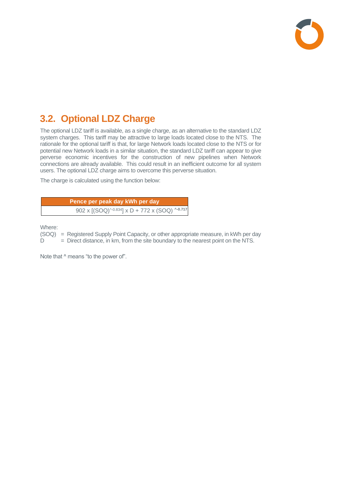

# **3.2. Optional LDZ Charge**

The optional LDZ tariff is available, as a single charge, as an alternative to the standard LDZ system charges. This tariff may be attractive to large loads located close to the NTS. The rationale for the optional tariff is that, for large Network loads located close to the NTS or for potential new Network loads in a similar situation, the standard LDZ tariff can appear to give perverse economic incentives for the construction of new pipelines when Network connections are already available. This could result in an inefficient outcome for all system users. The optional LDZ charge aims to overcome this perverse situation.

The charge is calculated using the function below:

| Pence per peak day kWh per day                 |
|------------------------------------------------|
| 902 x [(SOQ)^-0.834] x D + 772 x (SOQ) ^-0.717 |

Where:

(SOQ) = Registered Supply Point Capacity, or other appropriate measure, in kWh per day  $D =$  Direct distance, in km, from the site boundary to the nearest point on the NTS.

Note that ^ means "to the power of".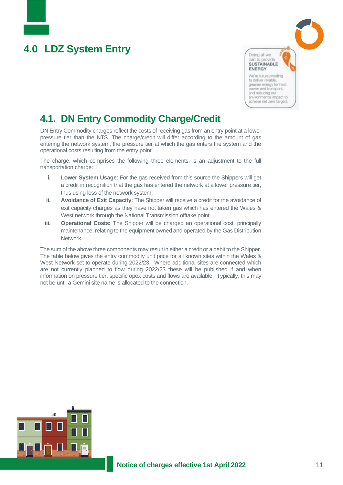# <span id="page-10-0"></span>**4.0 LDZ System Entry**



# **4.1. DN Entry Commodity Charge/Credit**

DN Entry Commodity charges reflect the costs of receiving gas from an entry point at a lower pressure tier than the NTS. The charge/credit will differ according to the amount of gas entering the network system, the pressure tier at which the gas enters the system and the operational costs resulting from the entry point.

The charge, which comprises the following three elements, is an adjustment to the full transportation charge:

- **i. Lower System Usage**: For the gas received from this source the Shippers will get a credit in recognition that the gas has entered the network at a lower pressure tier, thus using less of the network system.
- **ii. Avoidance of Exit Capacity**: The Shipper will receive a credit for the avoidance of exit capacity charges as they have not taken gas which has entered the Wales & West network through the National Transmission offtake point.
- **iii. Operational Costs:** The Shipper will be charged an operational cost, principally maintenance, relating to the equipment owned and operated by the Gas Distribution Network.

The sum of the above three components may result in either a credit or a debit to the Shipper. The table below gives the entry commodity unit price for all known sites within the Wales & West Network set to operate during 2022/23. Where additional sites are connected which are not currently planned to flow during 2022/23 these will be published if and when information on pressure tier, specific opex costs and flows are available. Typically, this may not be until a Gemini site name is allocated to the connection.

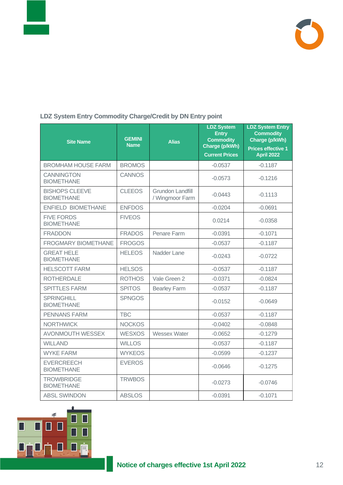



#### **LDZ System Entry Commodity Charge/Credit by DN Entry point**

| <b>Site Name</b>                           | <b>GEMINI</b><br><b>Name</b> | <b>Alias</b>                               | <b>LDZ System</b><br><b>Entry</b><br><b>Commodity</b><br>Charge (p/kWh)<br><b>Current Prices</b> | <b>LDZ System Entry</b><br><b>Commodity</b><br>Charge (p/kWh)<br>Prices effective 1<br><b>April 2022</b> |
|--------------------------------------------|------------------------------|--------------------------------------------|--------------------------------------------------------------------------------------------------|----------------------------------------------------------------------------------------------------------|
| <b>BROMHAM HOUSE FARM</b>                  | <b>BROMOS</b>                |                                            | $-0.0537$                                                                                        | $-0.1187$                                                                                                |
| <b>CANNINGTON</b><br><b>BIOMETHANE</b>     | <b>CANNOS</b>                |                                            | $-0.0573$                                                                                        | $-0.1216$                                                                                                |
| <b>BISHOPS CLEEVE</b><br><b>BIOMETHANE</b> | <b>CLEEOS</b>                | <b>Grundon Landfill</b><br>/ Wingmoor Farm | $-0.0443$                                                                                        | $-0.1113$                                                                                                |
| ENFIELD BIOMETHANE                         | <b>ENFDOS</b>                |                                            | $-0.0204$                                                                                        | $-0.0691$                                                                                                |
| <b>FIVE FORDS</b><br><b>BIOMETHANE</b>     | <b>FIVEOS</b>                |                                            | 0.0214                                                                                           | $-0.0358$                                                                                                |
| <b>FRADDON</b>                             | <b>FRADOS</b>                | Penare Farm                                | $-0.0391$                                                                                        | $-0.1071$                                                                                                |
| <b>FROGMARY BIOMETHANE</b>                 | <b>FROGOS</b>                |                                            | $-0.0537$                                                                                        | $-0.1187$                                                                                                |
| <b>GREAT HELE</b><br><b>BIOMETHANE</b>     | <b>HELEOS</b>                | Nadder Lane                                | $-0.0243$                                                                                        | $-0.0722$                                                                                                |
| <b>HELSCOTT FARM</b>                       | <b>HELSOS</b>                |                                            | $-0.0537$                                                                                        | $-0.1187$                                                                                                |
| <b>ROTHERDALE</b>                          | <b>ROTHOS</b>                | Vale Green 2                               | $-0.0371$                                                                                        | $-0.0824$                                                                                                |
| <b>SPITTLES FARM</b>                       | <b>SPITOS</b>                | <b>Bearley Farm</b>                        | $-0.0537$                                                                                        | $-0.1187$                                                                                                |
| <b>SPRINGHILL</b><br><b>BIOMETHANE</b>     | <b>SPNGOS</b>                |                                            | $-0.0152$                                                                                        | $-0.0649$                                                                                                |
| <b>PENNANS FARM</b>                        | <b>TBC</b>                   |                                            | $-0.0537$                                                                                        | $-0.1187$                                                                                                |
| <b>NORTHWICK</b>                           | <b>NOCKOS</b>                |                                            | $-0.0402$                                                                                        | $-0.0848$                                                                                                |
| <b>AVONMOUTH WESSEX</b>                    | <b>WESXOS</b>                | Wessex Water                               | $-0.0652$                                                                                        | $-0.1279$                                                                                                |
| <b>WILLAND</b>                             | <b>WILLOS</b>                |                                            | $-0.0537$                                                                                        | $-0.1187$                                                                                                |
| <b>WYKE FARM</b>                           | <b>WYKEOS</b>                |                                            | $-0.0599$                                                                                        | $-0.1237$                                                                                                |
| <b>EVERCREECH</b><br><b>BIOMETHANE</b>     | <b>EVEROS</b>                |                                            | $-0.0646$                                                                                        | $-0.1275$                                                                                                |
| <b>TROWBRIDGE</b><br><b>BIOMETHANE</b>     | <b>TRWBOS</b>                |                                            | $-0.0273$                                                                                        | $-0.0746$                                                                                                |
| <b>ABSL SWINDON</b>                        | <b>ABSLOS</b>                |                                            | $-0.0391$                                                                                        | $-0.1071$                                                                                                |

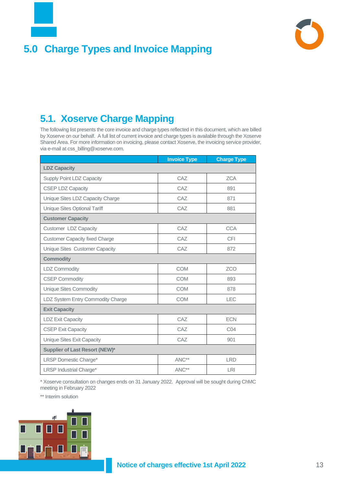

# <span id="page-12-0"></span>**5.0 Charge Types and Invoice Mapping**



# **5.1. Xoserve Charge Mapping**

The following list presents the core invoice and charge types reflected in this document, which are billed by Xoserve on our behalf. A full list of current invoice and charge types is available through the Xoserve Shared Area. For more information on invoicing, please contact Xoserve, the invoicing service provider, via e-mail at css\_billing@xoserve.com.

|                                       | <b>Invoice Type</b> | <b>Charge Type</b> |  |  |
|---------------------------------------|---------------------|--------------------|--|--|
| <b>LDZ Capacity</b>                   |                     |                    |  |  |
| Supply Point LDZ Capacity             | CAZ                 | <b>ZCA</b>         |  |  |
| <b>CSEP LDZ Capacity</b>              | CAZ                 | 891                |  |  |
| Unique Sites LDZ Capacity Charge      | CAZ                 | 871                |  |  |
| Unique Sites Optional Tariff          | CAZ                 | 881                |  |  |
| <b>Customer Capacity</b>              |                     |                    |  |  |
| Customer LDZ Capacity                 | CAZ                 | <b>CCA</b>         |  |  |
| <b>Customer Capacity fixed Charge</b> | CAZ                 | <b>CFI</b>         |  |  |
| Unique Sites Customer Capacity        | CAZ                 | 872                |  |  |
| <b>Commodity</b>                      |                     |                    |  |  |
| <b>LDZ Commodity</b>                  | <b>COM</b>          | <b>ZCO</b>         |  |  |
| <b>CSEP Commodity</b>                 | <b>COM</b>          | 893                |  |  |
| <b>Unique Sites Commodity</b>         | <b>COM</b>          | 878                |  |  |
| LDZ System Entry Commodity Charge     | <b>COM</b>          | <b>LEC</b>         |  |  |
| <b>Exit Capacity</b>                  |                     |                    |  |  |
| <b>LDZ Exit Capacity</b>              | CAZ                 | <b>ECN</b>         |  |  |
| <b>CSEP Exit Capacity</b>             | CAZ                 | CO <sub>4</sub>    |  |  |
| Unique Sites Exit Capacity            | CAZ                 | 901                |  |  |
| <b>Supplier of Last Resort (NEW)*</b> |                     |                    |  |  |
| LRSP Domestic Charge*                 | ANC**               | <b>LRD</b>         |  |  |
| <b>LRSP Industrial Charge*</b>        | ANC**               | <b>LRI</b>         |  |  |

\* Xoserve consultation on changes ends on 31 January 2022. Approval will be sought during ChMC meeting in February 2022

\*\* Interim solution